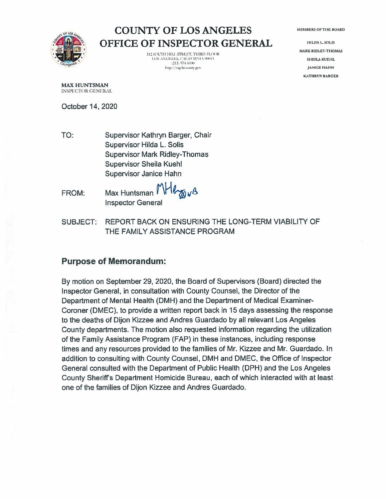**MEMBERS OF THE BOARD** 



**COUNTY OF LOS ANGELES** OFFICE OF INSPECTOR GENERAL

> 312 SOUTH HILL STREET, THIRD FLOOR **LOS ANGELES, CALIFORNIA 90013**  $[213] 97 + 6100$ http://oig.lacounty.gov

**HILDA L. SOLIS MARK RIDLEY-THOMAS SHEILA KUEHL IANICE HAHN KATHRYN BARGER** 

**MAX HUNTSMAN** INSPECTOR GENERAL

October 14, 2020

- TO: Supervisor Kathryn Barger, Chair Supervisor Hilda L. Solis **Supervisor Mark Ridley-Thomas** Supervisor Sheila Kuehl **Supervisor Janice Hahn**
- Herors Max Huntsman <sup>1</sup> FROM: **Inspector General**
- REPORT BACK ON ENSURING THE LONG-TERM VIABILITY OF **SUBJECT:** THE FAMILY ASSISTANCE PROGRAM

## **Purpose of Memorandum:**

By motion on September 29, 2020, the Board of Supervisors (Board) directed the Inspector General, in consultation with County Counsel, the Director of the Department of Mental Health (DMH) and the Department of Medical Examiner-Coroner (DMEC), to provide a written report back in 15 days assessing the response to the deaths of Dijon Kizzee and Andres Guardado by all relevant Los Angeles County departments. The motion also requested information regarding the utilization of the Family Assistance Program (FAP) in these instances, including response times and any resources provided to the families of Mr. Kizzee and Mr. Guardado. In addition to consulting with County Counsel, DMH and DMEC, the Office of Inspector General consulted with the Department of Public Health (DPH) and the Los Angeles County Sheriff's Department Homicide Bureau, each of which interacted with at least one of the families of Dijon Kizzee and Andres Guardado.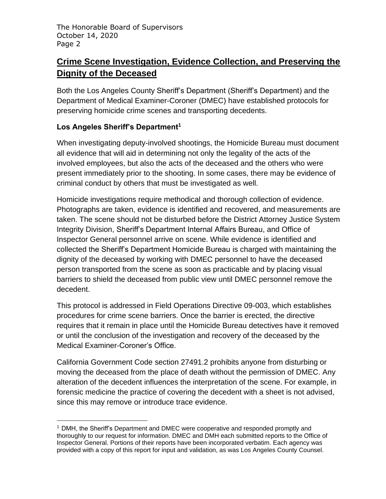# **Crime Scene Investigation, Evidence Collection, and Preserving the Dignity of the Deceased**

Both the Los Angeles County Sheriff's Department (Sheriff's Department) and the Department of Medical Examiner-Coroner (DMEC) have established protocols for preserving homicide crime scenes and transporting decedents.

## **Los Angeles Sheriff's Department<sup>1</sup>**

When investigating deputy-involved shootings, the Homicide Bureau must document all evidence that will aid in determining not only the legality of the acts of the involved employees, but also the acts of the deceased and the others who were present immediately prior to the shooting. In some cases, there may be evidence of criminal conduct by others that must be investigated as well.

Homicide investigations require methodical and thorough collection of evidence. Photographs are taken, evidence is identified and recovered, and measurements are taken. The scene should not be disturbed before the District Attorney Justice System Integrity Division, Sheriff's Department Internal Affairs Bureau, and Office of Inspector General personnel arrive on scene. While evidence is identified and collected the Sheriff's Department Homicide Bureau is charged with maintaining the dignity of the deceased by working with DMEC personnel to have the deceased person transported from the scene as soon as practicable and by placing visual barriers to shield the deceased from public view until DMEC personnel remove the decedent.

This protocol is addressed in Field Operations Directive 09-003, which establishes procedures for crime scene barriers. Once the barrier is erected, the directive requires that it remain in place until the Homicide Bureau detectives have it removed or until the conclusion of the investigation and recovery of the deceased by the Medical Examiner-Coroner's Office.

California Government Code section 27491.2 prohibits anyone from disturbing or moving the deceased from the place of death without the permission of DMEC. Any alteration of the decedent influences the interpretation of the scene. For example, in forensic medicine the practice of covering the decedent with a sheet is not advised, since this may remove or introduce trace evidence.

 $<sup>1</sup>$  DMH, the Sheriff's Department and DMEC were cooperative and responded promptly and</sup> thoroughly to our request for information. DMEC and DMH each submitted reports to the Office of Inspector General. Portions of their reports have been incorporated verbatim. Each agency was provided with a copy of this report for input and validation, as was Los Angeles County Counsel.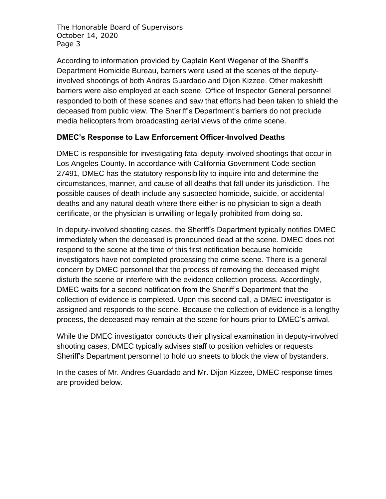According to information provided by Captain Kent Wegener of the Sheriff's Department Homicide Bureau, barriers were used at the scenes of the deputyinvolved shootings of both Andres Guardado and Dijon Kizzee. Other makeshift barriers were also employed at each scene. Office of Inspector General personnel responded to both of these scenes and saw that efforts had been taken to shield the deceased from public view. The Sheriff's Department's barriers do not preclude media helicopters from broadcasting aerial views of the crime scene.

#### **DMEC's Response to Law Enforcement Officer-Involved Deaths**

DMEC is responsible for investigating fatal deputy-involved shootings that occur in Los Angeles County. In accordance with California Government Code section 27491, DMEC has the statutory responsibility to inquire into and determine the circumstances, manner, and cause of all deaths that fall under its jurisdiction. The possible causes of death include any suspected homicide, suicide, or accidental deaths and any natural death where there either is no physician to sign a death certificate, or the physician is unwilling or legally prohibited from doing so.

In deputy-involved shooting cases, the Sheriff's Department typically notifies DMEC immediately when the deceased is pronounced dead at the scene. DMEC does not respond to the scene at the time of this first notification because homicide investigators have not completed processing the crime scene. There is a general concern by DMEC personnel that the process of removing the deceased might disturb the scene or interfere with the evidence collection process. Accordingly, DMEC waits for a second notification from the Sheriff's Department that the collection of evidence is completed. Upon this second call, a DMEC investigator is assigned and responds to the scene. Because the collection of evidence is a lengthy process, the deceased may remain at the scene for hours prior to DMEC's arrival.

While the DMEC investigator conducts their physical examination in deputy-involved shooting cases, DMEC typically advises staff to position vehicles or requests Sheriff's Department personnel to hold up sheets to block the view of bystanders.

In the cases of Mr. Andres Guardado and Mr. Dijon Kizzee, DMEC response times are provided below.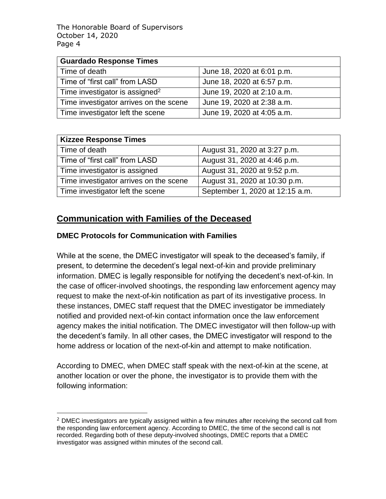| <b>Guardado Response Times</b>             |                            |
|--------------------------------------------|----------------------------|
| Time of death                              | June 18, 2020 at 6:01 p.m. |
| Time of "first call" from LASD             | June 18, 2020 at 6:57 p.m. |
| Time investigator is assigned <sup>2</sup> | June 19, 2020 at 2:10 a.m. |
| Time investigator arrives on the scene     | June 19, 2020 at 2:38 a.m. |
| Time investigator left the scene           | June 19, 2020 at 4:05 a.m. |

| <b>Kizzee Response Times</b>           |                                 |
|----------------------------------------|---------------------------------|
| Time of death                          | August 31, 2020 at 3:27 p.m.    |
| Time of "first call" from LASD         | August 31, 2020 at 4:46 p.m.    |
| Time investigator is assigned          | August 31, 2020 at 9:52 p.m.    |
| Time investigator arrives on the scene | August 31, 2020 at 10:30 p.m.   |
| Time investigator left the scene       | September 1, 2020 at 12:15 a.m. |

## **Communication with Families of the Deceased**

#### **DMEC Protocols for Communication with Families**

While at the scene, the DMEC investigator will speak to the deceased's family, if present, to determine the decedent's legal next-of-kin and provide preliminary information. DMEC is legally responsible for notifying the decedent's next-of-kin. In the case of officer-involved shootings, the responding law enforcement agency may request to make the next-of-kin notification as part of its investigative process. In these instances, DMEC staff request that the DMEC investigator be immediately notified and provided next-of-kin contact information once the law enforcement agency makes the initial notification. The DMEC investigator will then follow-up with the decedent's family. In all other cases, the DMEC investigator will respond to the home address or location of the next-of-kin and attempt to make notification.

According to DMEC, when DMEC staff speak with the next-of-kin at the scene, at another location or over the phone, the investigator is to provide them with the following information:

 $<sup>2</sup>$  DMEC investigators are typically assigned within a few minutes after receiving the second call from</sup> the responding law enforcement agency. According to DMEC, the time of the second call is not recorded. Regarding both of these deputy-involved shootings, DMEC reports that a DMEC investigator was assigned within minutes of the second call.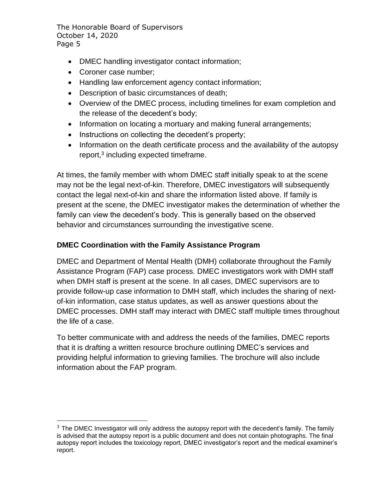- DMEC handling investigator contact information;
- Coroner case number;
- Handling law enforcement agency contact information;
- Description of basic circumstances of death;
- Overview of the DMEC process, including timelines for exam completion and the release of the decedent's body;
- Information on locating a mortuary and making funeral arrangements;
- Instructions on collecting the decedent's property;
- Information on the death certificate process and the availability of the autopsy report,<sup>3</sup> including expected timeframe.

At times, the family member with whom DMEC staff initially speak to at the scene may not be the legal next-of-kin. Therefore, DMEC investigators will subsequently contact the legal next-of-kin and share the information listed above. If family is present at the scene, the DMEC investigator makes the determination of whether the family can view the decedent's body. This is generally based on the observed behavior and circumstances surrounding the investigative scene.

## **DMEC Coordination with the Family Assistance Program**

DMEC and Department of Mental Health (DMH) collaborate throughout the Family Assistance Program (FAP) case process. DMEC investigators work with DMH staff when DMH staff is present at the scene. In all cases, DMEC supervisors are to provide follow-up case information to DMH staff, which includes the sharing of nextof-kin information, case status updates, as well as answer questions about the DMEC processes. DMH staff may interact with DMEC staff multiple times throughout the life of a case.

To better communicate with and address the needs of the families, DMEC reports that it is drafting a written resource brochure outlining DMEC's services and providing helpful information to grieving families. The brochure will also include information about the FAP program.

 $3$  The DMEC Investigator will only address the autopsy report with the decedent's family. The family is advised that the autopsy report is a public document and does not contain photographs. The final autopsy report includes the toxicology report, DMEC investigator's report and the medical examiner's report.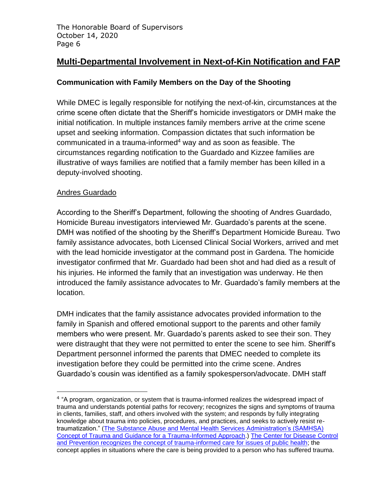## **Multi-Departmental Involvement in Next-of-Kin Notification and FAP**

## **Communication with Family Members on the Day of the Shooting**

While DMEC is legally responsible for notifying the next-of-kin, circumstances at the crime scene often dictate that the Sheriff's homicide investigators or DMH make the initial notification. In multiple instances family members arrive at the crime scene upset and seeking information. Compassion dictates that such information be communicated in a trauma-informed<sup>4</sup> way and as soon as feasible. The circumstances regarding notification to the Guardado and Kizzee families are illustrative of ways families are notified that a family member has been killed in a deputy-involved shooting.

#### Andres Guardado

According to the Sheriff's Department, following the shooting of Andres Guardado, Homicide Bureau investigators interviewed Mr. Guardado's parents at the scene. DMH was notified of the shooting by the Sheriff's Department Homicide Bureau. Two family assistance advocates, both Licensed Clinical Social Workers, arrived and met with the lead homicide investigator at the command post in Gardena. The homicide investigator confirmed that Mr. Guardado had been shot and had died as a result of his injuries. He informed the family that an investigation was underway. He then introduced the family assistance advocates to Mr. Guardado's family members at the location.

DMH indicates that the family assistance advocates provided information to the family in Spanish and offered emotional support to the parents and other family members who were present. Mr. Guardado's parents asked to see their son. They were distraught that they were not permitted to enter the scene to see him. Sheriff's Department personnel informed the parents that DMEC needed to complete its investigation before they could be permitted into the crime scene. Andres Guardado's cousin was identified as a family spokesperson/advocate. DMH staff

<sup>&</sup>lt;sup>4</sup> "A program, organization, or system that is trauma-informed realizes the widespread impact of trauma and understands potential paths for recovery; recognizes the signs and symptoms of trauma in clients, families, staff, and others involved with the system; and responds by fully integrating knowledge about trauma into policies, procedures, and practices, and seeks to actively resist retraumatization." [\(The Substance Abuse and Mental Health Services Administration's \(SAMHSA\)](https://ncsacw.samhsa.gov/userfiles/files/SAMHSA_Trauma.pdf)  [Concept of Trauma and Guidance for a Trauma-Informed Approach.](https://ncsacw.samhsa.gov/userfiles/files/SAMHSA_Trauma.pdf)) [The Center for Disease Control](https://www.cdc.gov/cpr/infographics/6_principles_trauma_info.htm)  [and Prevention recognizes the concept of trauma-informed care for issues of public health;](https://www.cdc.gov/cpr/infographics/6_principles_trauma_info.htm) the concept applies in situations where the care is being provided to a person who has suffered trauma.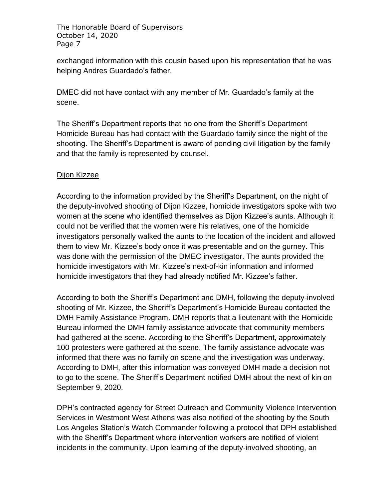exchanged information with this cousin based upon his representation that he was helping Andres Guardado's father.

DMEC did not have contact with any member of Mr. Guardado's family at the scene.

The Sheriff's Department reports that no one from the Sheriff's Department Homicide Bureau has had contact with the Guardado family since the night of the shooting. The Sheriff's Department is aware of pending civil litigation by the family and that the family is represented by counsel.

#### Dijon Kizzee

According to the information provided by the Sheriff's Department, on the night of the deputy-involved shooting of Dijon Kizzee, homicide investigators spoke with two women at the scene who identified themselves as Dijon Kizzee's aunts. Although it could not be verified that the women were his relatives, one of the homicide investigators personally walked the aunts to the location of the incident and allowed them to view Mr. Kizzee's body once it was presentable and on the gurney. This was done with the permission of the DMEC investigator. The aunts provided the homicide investigators with Mr. Kizzee's next-of-kin information and informed homicide investigators that they had already notified Mr. Kizzee's father.

According to both the Sheriff's Department and DMH, following the deputy-involved shooting of Mr. Kizzee, the Sheriff's Department's Homicide Bureau contacted the DMH Family Assistance Program. DMH reports that a lieutenant with the Homicide Bureau informed the DMH family assistance advocate that community members had gathered at the scene. According to the Sheriff's Department, approximately 100 protesters were gathered at the scene. The family assistance advocate was informed that there was no family on scene and the investigation was underway. According to DMH, after this information was conveyed DMH made a decision not to go to the scene. The Sheriff's Department notified DMH about the next of kin on September 9, 2020.

DPH's contracted agency for Street Outreach and Community Violence Intervention Services in Westmont West Athens was also notified of the shooting by the South Los Angeles Station's Watch Commander following a protocol that DPH established with the Sheriff's Department where intervention workers are notified of violent incidents in the community. Upon learning of the deputy-involved shooting, an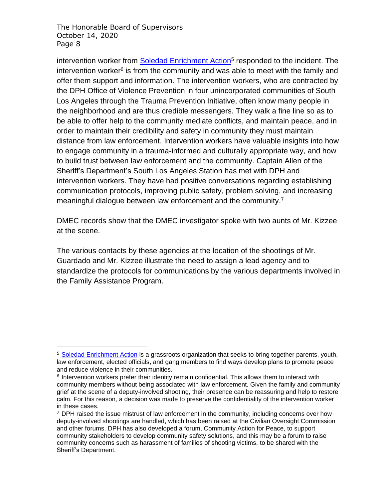intervention worker from **Soledad Enrichment Action**<sup>5</sup> responded to the incident. The intervention worker<sup>6</sup> is from the community and was able to meet with the family and offer them support and information. The intervention workers, who are contracted by the DPH Office of Violence Prevention in four unincorporated communities of South Los Angeles through the Trauma Prevention Initiative, often know many people in the neighborhood and are thus credible messengers. They walk a fine line so as to be able to offer help to the community mediate conflicts, and maintain peace, and in order to maintain their credibility and safety in community they must maintain distance from law enforcement. Intervention workers have valuable insights into how to engage community in a trauma-informed and culturally appropriate way, and how to build trust between law enforcement and the community. Captain Allen of the Sheriff's Department's South Los Angeles Station has met with DPH and intervention workers. They have had positive conversations regarding establishing communication protocols, improving public safety, problem solving, and increasing meaningful dialogue between law enforcement and the community.<sup>7</sup>

DMEC records show that the DMEC investigator spoke with two aunts of Mr. Kizzee at the scene.

The various contacts by these agencies at the location of the shootings of Mr. Guardado and Mr. Kizzee illustrate the need to assign a lead agency and to standardize the protocols for communications by the various departments involved in the Family Assistance Program.

<sup>&</sup>lt;sup>5</sup> [Soledad Enrichment Action](http://www.seaprograms.org/57-2/) is a grassroots organization that seeks to bring together parents, youth, law enforcement, elected officials, and gang members to find ways develop plans to promote peace and reduce violence in their communities.

<sup>&</sup>lt;sup>6</sup> Intervention workers prefer their identity remain confidential. This allows them to interact with community members without being associated with law enforcement. Given the family and community grief at the scene of a deputy-involved shooting, their presence can be reassuring and help to restore calm. For this reason, a decision was made to preserve the confidentiality of the intervention worker in these cases.

 $7$  DPH raised the issue mistrust of law enforcement in the community, including concerns over how deputy-involved shootings are handled, which has been raised at the Civilian Oversight Commission and other forums. DPH has also developed a forum, Community Action for Peace, to support community stakeholders to develop community safety solutions, and this may be a forum to raise community concerns such as harassment of families of shooting victims, to be shared with the Sheriff's Department.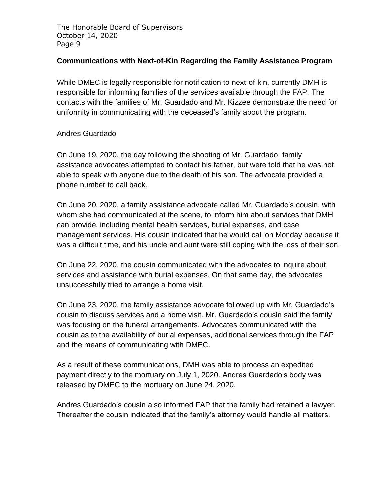#### **Communications with Next-of-Kin Regarding the Family Assistance Program**

While DMEC is legally responsible for notification to next-of-kin, currently DMH is responsible for informing families of the services available through the FAP. The contacts with the families of Mr. Guardado and Mr. Kizzee demonstrate the need for uniformity in communicating with the deceased's family about the program.

#### Andres Guardado

On June 19, 2020, the day following the shooting of Mr. Guardado, family assistance advocates attempted to contact his father, but were told that he was not able to speak with anyone due to the death of his son. The advocate provided a phone number to call back.

On June 20, 2020, a family assistance advocate called Mr. Guardado's cousin, with whom she had communicated at the scene, to inform him about services that DMH can provide, including mental health services, burial expenses, and case management services. His cousin indicated that he would call on Monday because it was a difficult time, and his uncle and aunt were still coping with the loss of their son.

On June 22, 2020, the cousin communicated with the advocates to inquire about services and assistance with burial expenses. On that same day, the advocates unsuccessfully tried to arrange a home visit.

On June 23, 2020, the family assistance advocate followed up with Mr. Guardado's cousin to discuss services and a home visit. Mr. Guardado's cousin said the family was focusing on the funeral arrangements. Advocates communicated with the cousin as to the availability of burial expenses, additional services through the FAP and the means of communicating with DMEC.

As a result of these communications, DMH was able to process an expedited payment directly to the mortuary on July 1, 2020. Andres Guardado's body was released by DMEC to the mortuary on June 24, 2020.

Andres Guardado's cousin also informed FAP that the family had retained a lawyer. Thereafter the cousin indicated that the family's attorney would handle all matters.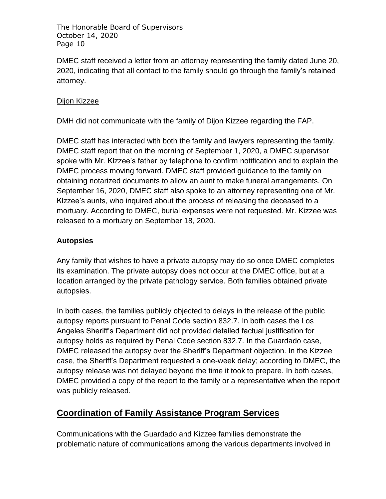DMEC staff received a letter from an attorney representing the family dated June 20, 2020, indicating that all contact to the family should go through the family's retained attorney.

#### Dijon Kizzee

DMH did not communicate with the family of Dijon Kizzee regarding the FAP.

DMEC staff has interacted with both the family and lawyers representing the family. DMEC staff report that on the morning of September 1, 2020, a DMEC supervisor spoke with Mr. Kizzee's father by telephone to confirm notification and to explain the DMEC process moving forward. DMEC staff provided guidance to the family on obtaining notarized documents to allow an aunt to make funeral arrangements. On September 16, 2020, DMEC staff also spoke to an attorney representing one of Mr. Kizzee's aunts, who inquired about the process of releasing the deceased to a mortuary. According to DMEC, burial expenses were not requested. Mr. Kizzee was released to a mortuary on September 18, 2020.

## **Autopsies**

Any family that wishes to have a private autopsy may do so once DMEC completes its examination. The private autopsy does not occur at the DMEC office, but at a location arranged by the private pathology service. Both families obtained private autopsies.

In both cases, the families publicly objected to delays in the release of the public autopsy reports pursuant to Penal Code section 832.7. In both cases the Los Angeles Sheriff's Department did not provided detailed factual justification for autopsy holds as required by Penal Code section 832.7. In the Guardado case, DMEC released the autopsy over the Sheriff's Department objection. In the Kizzee case, the Sheriff's Department requested a one-week delay; according to DMEC, the autopsy release was not delayed beyond the time it took to prepare. In both cases, DMEC provided a copy of the report to the family or a representative when the report was publicly released.

# **Coordination of Family Assistance Program Services**

Communications with the Guardado and Kizzee families demonstrate the problematic nature of communications among the various departments involved in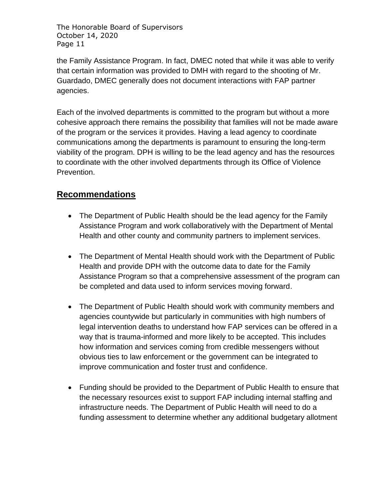the Family Assistance Program. In fact, DMEC noted that while it was able to verify that certain information was provided to DMH with regard to the shooting of Mr. Guardado, DMEC generally does not document interactions with FAP partner agencies.

Each of the involved departments is committed to the program but without a more cohesive approach there remains the possibility that families will not be made aware of the program or the services it provides. Having a lead agency to coordinate communications among the departments is paramount to ensuring the long-term viability of the program. DPH is willing to be the lead agency and has the resources to coordinate with the other involved departments through its Office of Violence Prevention.

## **Recommendations**

- The Department of Public Health should be the lead agency for the Family Assistance Program and work collaboratively with the Department of Mental Health and other county and community partners to implement services.
- The Department of Mental Health should work with the Department of Public Health and provide DPH with the outcome data to date for the Family Assistance Program so that a comprehensive assessment of the program can be completed and data used to inform services moving forward.
- The Department of Public Health should work with community members and agencies countywide but particularly in communities with high numbers of legal intervention deaths to understand how FAP services can be offered in a way that is trauma-informed and more likely to be accepted. This includes how information and services coming from credible messengers without obvious ties to law enforcement or the government can be integrated to improve communication and foster trust and confidence.
- Funding should be provided to the Department of Public Health to ensure that the necessary resources exist to support FAP including internal staffing and infrastructure needs. The Department of Public Health will need to do a funding assessment to determine whether any additional budgetary allotment